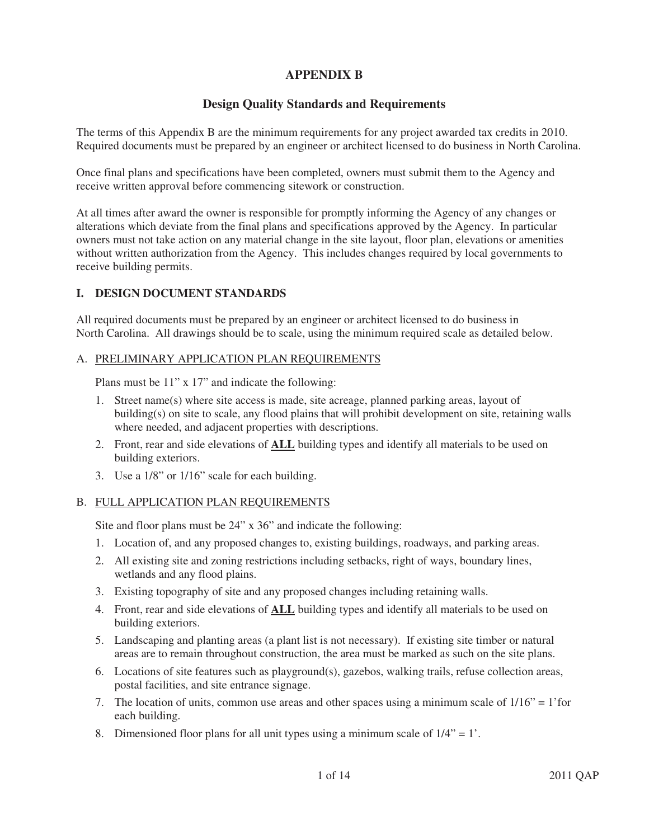# **APPENDIX B**

# **Design Quality Standards and Requirements**

The terms of this Appendix B are the minimum requirements for any project awarded tax credits in 2010. Required documents must be prepared by an engineer or architect licensed to do business in North Carolina.

Once final plans and specifications have been completed, owners must submit them to the Agency and receive written approval before commencing sitework or construction.

At all times after award the owner is responsible for promptly informing the Agency of any changes or alterations which deviate from the final plans and specifications approved by the Agency. In particular owners must not take action on any material change in the site layout, floor plan, elevations or amenities without written authorization from the Agency. This includes changes required by local governments to receive building permits.

### **I. DESIGN DOCUMENT STANDARDS**

All required documents must be prepared by an engineer or architect licensed to do business in North Carolina. All drawings should be to scale, using the minimum required scale as detailed below.

### A. PRELIMINARY APPLICATION PLAN REQUIREMENTS

Plans must be 11" x 17" and indicate the following:

- 1. Street name(s) where site access is made, site acreage, planned parking areas, layout of building(s) on site to scale, any flood plains that will prohibit development on site, retaining walls where needed, and adjacent properties with descriptions.
- 2. Front, rear and side elevations of **ALL** building types and identify all materials to be used on building exteriors.
- 3. Use a 1/8" or 1/16" scale for each building.

# B. FULL APPLICATION PLAN REQUIREMENTS

Site and floor plans must be 24" x 36" and indicate the following:

- 1. Location of, and any proposed changes to, existing buildings, roadways, and parking areas.
- 2. All existing site and zoning restrictions including setbacks, right of ways, boundary lines, wetlands and any flood plains.
- 3. Existing topography of site and any proposed changes including retaining walls.
- 4. Front, rear and side elevations of **ALL** building types and identify all materials to be used on building exteriors.
- 5. Landscaping and planting areas (a plant list is not necessary). If existing site timber or natural areas are to remain throughout construction, the area must be marked as such on the site plans.
- 6. Locations of site features such as playground(s), gazebos, walking trails, refuse collection areas, postal facilities, and site entrance signage.
- 7. The location of units, common use areas and other spaces using a minimum scale of  $1/16" = 1'$  for each building.
- 8. Dimensioned floor plans for all unit types using a minimum scale of  $1/4$ " = 1'.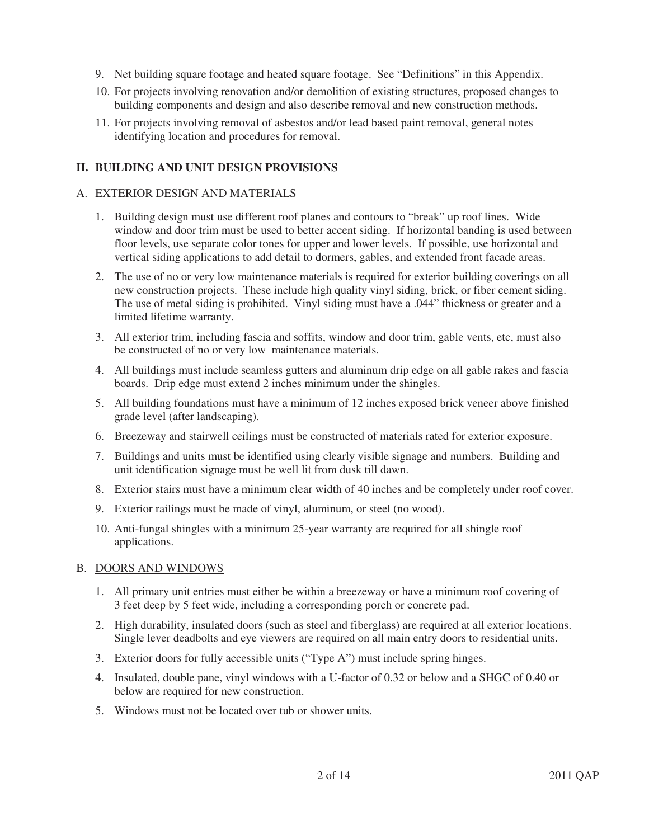- 9. Net building square footage and heated square footage. See "Definitions" in this Appendix.
- 10. For projects involving renovation and/or demolition of existing structures, proposed changes to building components and design and also describe removal and new construction methods.
- 11. For projects involving removal of asbestos and/or lead based paint removal, general notes identifying location and procedures for removal.

### **II. BUILDING AND UNIT DESIGN PROVISIONS**

### A. EXTERIOR DESIGN AND MATERIALS

- 1. Building design must use different roof planes and contours to "break" up roof lines. Wide window and door trim must be used to better accent siding. If horizontal banding is used between floor levels, use separate color tones for upper and lower levels. If possible, use horizontal and vertical siding applications to add detail to dormers, gables, and extended front facade areas.
- 2. The use of no or very low maintenance materials is required for exterior building coverings on all new construction projects. These include high quality vinyl siding, brick, or fiber cement siding. The use of metal siding is prohibited. Vinyl siding must have a .044" thickness or greater and a limited lifetime warranty.
- 3. All exterior trim, including fascia and soffits, window and door trim, gable vents, etc, must also be constructed of no or very low maintenance materials.
- 4. All buildings must include seamless gutters and aluminum drip edge on all gable rakes and fascia boards. Drip edge must extend 2 inches minimum under the shingles.
- 5. All building foundations must have a minimum of 12 inches exposed brick veneer above finished grade level (after landscaping).
- 6. Breezeway and stairwell ceilings must be constructed of materials rated for exterior exposure.
- 7. Buildings and units must be identified using clearly visible signage and numbers. Building and unit identification signage must be well lit from dusk till dawn.
- 8. Exterior stairs must have a minimum clear width of 40 inches and be completely under roof cover.
- 9. Exterior railings must be made of vinyl, aluminum, or steel (no wood).
- 10. Anti-fungal shingles with a minimum 25-year warranty are required for all shingle roof applications.

### B. DOORS AND WINDOWS

- 1. All primary unit entries must either be within a breezeway or have a minimum roof covering of 3 feet deep by 5 feet wide, including a corresponding porch or concrete pad.
- 2. High durability, insulated doors (such as steel and fiberglass) are required at all exterior locations. Single lever deadbolts and eye viewers are required on all main entry doors to residential units.
- 3. Exterior doors for fully accessible units ("Type A") must include spring hinges.
- 4. Insulated, double pane, vinyl windows with a U-factor of 0.32 or below and a SHGC of 0.40 or below are required for new construction.
- 5. Windows must not be located over tub or shower units.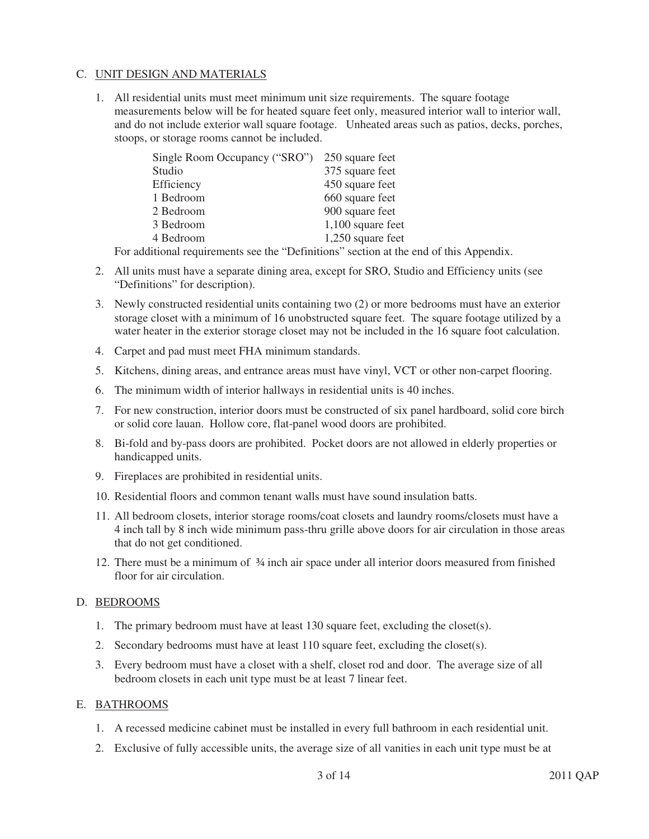### C. UNIT DESIGN AND MATERIALS

1. All residential units must meet minimum unit size requirements. The square footage measurements below will be for heated square feet only, measured interior wall to interior wall, and do not include exterior wall square footage. Unheated areas such as patios, decks, porches, stoops, or storage rooms cannot be included.

| Single Room Occupancy ("SRO") | 250 square feet   |
|-------------------------------|-------------------|
| Studio                        | 375 square feet   |
| Efficiency                    | 450 square feet   |
| 1 Bedroom                     | 660 square feet   |
| 2 Bedroom                     | 900 square feet   |
| 3 Bedroom                     | 1,100 square feet |
| 4 Bedroom                     | 1,250 square feet |

For additional requirements see the "Definitions" section at the end of this Appendix.

- 2. All units must have a separate dining area, except for SRO, Studio and Efficiency units (see "Definitions" for description).
- 3. Newly constructed residential units containing two (2) or more bedrooms must have an exterior storage closet with a minimum of 16 unobstructed square feet. The square footage utilized by a water heater in the exterior storage closet may not be included in the 16 square foot calculation.
- 4. Carpet and pad must meet FHA minimum standards.
- 5. Kitchens, dining areas, and entrance areas must have vinyl, VCT or other non-carpet flooring.
- 6. The minimum width of interior hallways in residential units is 40 inches.
- 7. For new construction, interior doors must be constructed of six panel hardboard, solid core birch or solid core lauan. Hollow core, flat-panel wood doors are prohibited.
- 8. Bi-fold and by-pass doors are prohibited. Pocket doors are not allowed in elderly properties or handicapped units.
- 9. Fireplaces are prohibited in residential units.
- 10. Residential floors and common tenant walls must have sound insulation batts.
- 11. All bedroom closets, interior storage rooms/coat closets and laundry rooms/closets must have a 4 inch tall by 8 inch wide minimum pass-thru grille above doors for air circulation in those areas that do not get conditioned.
- 12. There must be a minimum of ¾ inch air space under all interior doors measured from finished floor for air circulation.

### D. BEDROOMS

- 1. The primary bedroom must have at least 130 square feet, excluding the closet(s).
- 2. Secondary bedrooms must have at least 110 square feet, excluding the closet(s).
- 3. Every bedroom must have a closet with a shelf, closet rod and door. The average size of all bedroom closets in each unit type must be at least 7 linear feet.

#### E. BATHROOMS

- 1. A recessed medicine cabinet must be installed in every full bathroom in each residential unit.
- 2. Exclusive of fully accessible units, the average size of all vanities in each unit type must be at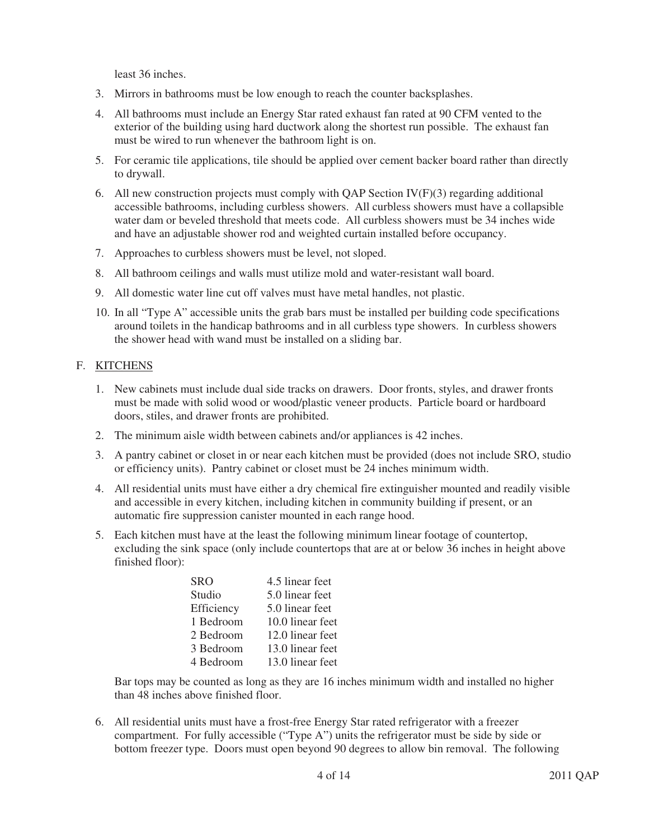least 36 inches.

- 3. Mirrors in bathrooms must be low enough to reach the counter backsplashes.
- 4. All bathrooms must include an Energy Star rated exhaust fan rated at 90 CFM vented to the exterior of the building using hard ductwork along the shortest run possible. The exhaust fan must be wired to run whenever the bathroom light is on.
- 5. For ceramic tile applications, tile should be applied over cement backer board rather than directly to drywall.
- 6. All new construction projects must comply with QAP Section  $IV(F)(3)$  regarding additional accessible bathrooms, including curbless showers. All curbless showers must have a collapsible water dam or beveled threshold that meets code. All curbless showers must be 34 inches wide and have an adjustable shower rod and weighted curtain installed before occupancy.
- 7. Approaches to curbless showers must be level, not sloped.
- 8. All bathroom ceilings and walls must utilize mold and water-resistant wall board.
- 9. All domestic water line cut off valves must have metal handles, not plastic.
- 10. In all "Type A" accessible units the grab bars must be installed per building code specifications around toilets in the handicap bathrooms and in all curbless type showers. In curbless showers the shower head with wand must be installed on a sliding bar.

# F. KITCHENS

- 1. New cabinets must include dual side tracks on drawers. Door fronts, styles, and drawer fronts must be made with solid wood or wood/plastic veneer products. Particle board or hardboard doors, stiles, and drawer fronts are prohibited.
- 2. The minimum aisle width between cabinets and/or appliances is 42 inches.
- 3. A pantry cabinet or closet in or near each kitchen must be provided (does not include SRO, studio or efficiency units). Pantry cabinet or closet must be 24 inches minimum width.
- 4. All residential units must have either a dry chemical fire extinguisher mounted and readily visible and accessible in every kitchen, including kitchen in community building if present, or an automatic fire suppression canister mounted in each range hood.
- 5. Each kitchen must have at the least the following minimum linear footage of countertop, excluding the sink space (only include countertops that are at or below 36 inches in height above finished floor):

| SRO        | 4.5 linear feet  |
|------------|------------------|
| Studio     | 5.0 linear feet  |
| Efficiency | 5.0 linear feet  |
| 1 Bedroom  | 10.0 linear feet |
| 2 Bedroom  | 12.0 linear feet |
| 3 Bedroom  | 13.0 linear feet |
| 4 Bedroom  | 13.0 linear feet |

Bar tops may be counted as long as they are 16 inches minimum width and installed no higher than 48 inches above finished floor.

6. All residential units must have a frost-free Energy Star rated refrigerator with a freezer compartment. For fully accessible ("Type A") units the refrigerator must be side by side or bottom freezer type. Doors must open beyond 90 degrees to allow bin removal. The following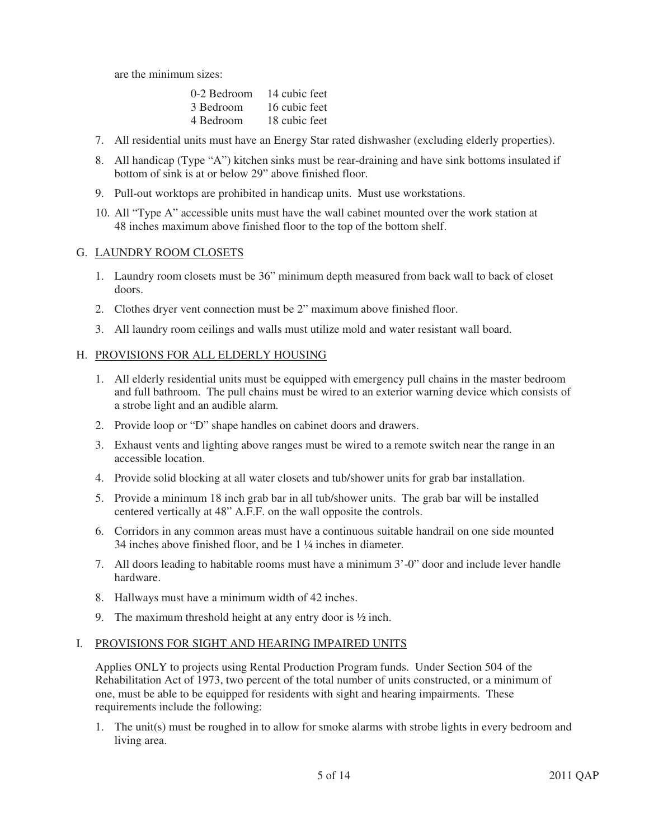are the minimum sizes:

| 0-2 Bedroom | 14 cubic feet |
|-------------|---------------|
| 3 Bedroom   | 16 cubic feet |
| 4 Bedroom   | 18 cubic feet |

- 7. All residential units must have an Energy Star rated dishwasher (excluding elderly properties).
- 8. All handicap (Type "A") kitchen sinks must be rear-draining and have sink bottoms insulated if bottom of sink is at or below 29" above finished floor.
- 9. Pull-out worktops are prohibited in handicap units. Must use workstations.
- 10. All "Type A" accessible units must have the wall cabinet mounted over the work station at 48 inches maximum above finished floor to the top of the bottom shelf.

#### G. LAUNDRY ROOM CLOSETS

- 1. Laundry room closets must be 36" minimum depth measured from back wall to back of closet doors.
- 2. Clothes dryer vent connection must be 2" maximum above finished floor.
- 3. All laundry room ceilings and walls must utilize mold and water resistant wall board.

#### H. PROVISIONS FOR ALL ELDERLY HOUSING

- 1. All elderly residential units must be equipped with emergency pull chains in the master bedroom and full bathroom. The pull chains must be wired to an exterior warning device which consists of a strobe light and an audible alarm.
- 2. Provide loop or "D" shape handles on cabinet doors and drawers.
- 3. Exhaust vents and lighting above ranges must be wired to a remote switch near the range in an accessible location.
- 4. Provide solid blocking at all water closets and tub/shower units for grab bar installation.
- 5. Provide a minimum 18 inch grab bar in all tub/shower units. The grab bar will be installed centered vertically at 48" A.F.F. on the wall opposite the controls.
- 6. Corridors in any common areas must have a continuous suitable handrail on one side mounted 34 inches above finished floor, and be 1 ¼ inches in diameter.
- 7. All doors leading to habitable rooms must have a minimum 3'-0" door and include lever handle hardware.
- 8. Hallways must have a minimum width of 42 inches.
- 9. The maximum threshold height at any entry door is ½ inch.

#### I. PROVISIONS FOR SIGHT AND HEARING IMPAIRED UNITS

Applies ONLY to projects using Rental Production Program funds. Under Section 504 of the Rehabilitation Act of 1973, two percent of the total number of units constructed, or a minimum of one, must be able to be equipped for residents with sight and hearing impairments. These requirements include the following:

1. The unit(s) must be roughed in to allow for smoke alarms with strobe lights in every bedroom and living area.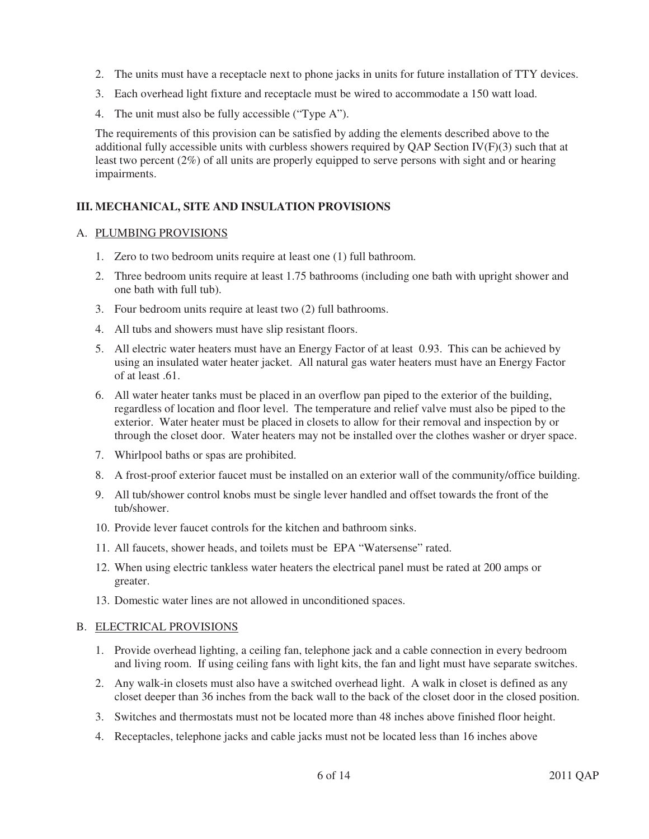- 2. The units must have a receptacle next to phone jacks in units for future installation of TTY devices.
- 3. Each overhead light fixture and receptacle must be wired to accommodate a 150 watt load.
- 4. The unit must also be fully accessible ("Type A").

The requirements of this provision can be satisfied by adding the elements described above to the additional fully accessible units with curbless showers required by QAP Section  $IV(F)(3)$  such that at least two percent (2%) of all units are properly equipped to serve persons with sight and or hearing impairments.

# **III. MECHANICAL, SITE AND INSULATION PROVISIONS**

### A. PLUMBING PROVISIONS

- 1. Zero to two bedroom units require at least one (1) full bathroom.
- 2. Three bedroom units require at least 1.75 bathrooms (including one bath with upright shower and one bath with full tub).
- 3. Four bedroom units require at least two (2) full bathrooms.
- 4. All tubs and showers must have slip resistant floors.
- 5. All electric water heaters must have an Energy Factor of at least 0.93. This can be achieved by using an insulated water heater jacket. All natural gas water heaters must have an Energy Factor of at least .61.
- 6. All water heater tanks must be placed in an overflow pan piped to the exterior of the building, regardless of location and floor level. The temperature and relief valve must also be piped to the exterior. Water heater must be placed in closets to allow for their removal and inspection by or through the closet door. Water heaters may not be installed over the clothes washer or dryer space.
- 7. Whirlpool baths or spas are prohibited.
- 8. A frost-proof exterior faucet must be installed on an exterior wall of the community/office building.
- 9. All tub/shower control knobs must be single lever handled and offset towards the front of the tub/shower.
- 10. Provide lever faucet controls for the kitchen and bathroom sinks.
- 11. All faucets, shower heads, and toilets must be EPA "Watersense" rated.
- 12. When using electric tankless water heaters the electrical panel must be rated at 200 amps or greater.
- 13. Domestic water lines are not allowed in unconditioned spaces.

### B. ELECTRICAL PROVISIONS

- 1. Provide overhead lighting, a ceiling fan, telephone jack and a cable connection in every bedroom and living room. If using ceiling fans with light kits, the fan and light must have separate switches.
- 2. Any walk-in closets must also have a switched overhead light. A walk in closet is defined as any closet deeper than 36 inches from the back wall to the back of the closet door in the closed position.
- 3. Switches and thermostats must not be located more than 48 inches above finished floor height.
- 4. Receptacles, telephone jacks and cable jacks must not be located less than 16 inches above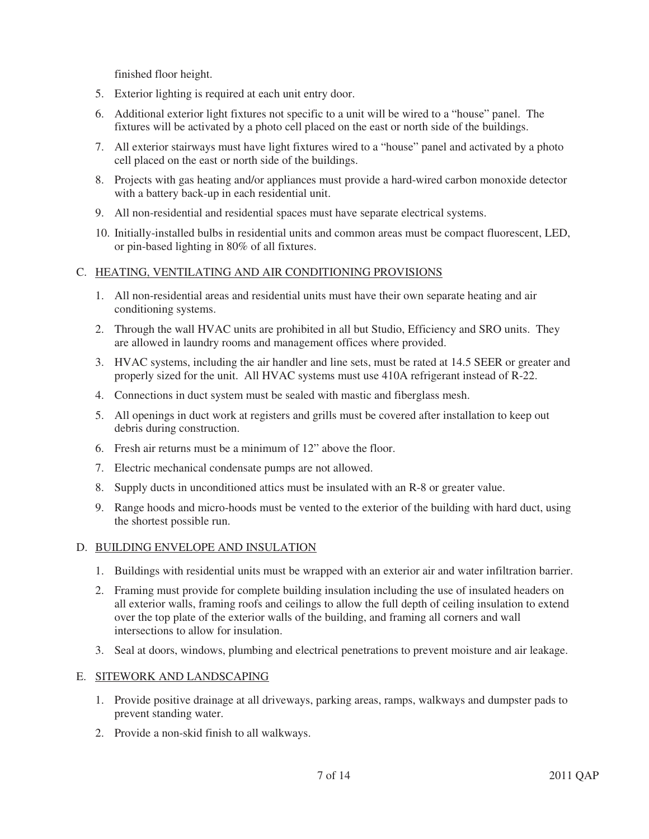finished floor height.

- 5. Exterior lighting is required at each unit entry door.
- 6. Additional exterior light fixtures not specific to a unit will be wired to a "house" panel. The fixtures will be activated by a photo cell placed on the east or north side of the buildings.
- 7. All exterior stairways must have light fixtures wired to a "house" panel and activated by a photo cell placed on the east or north side of the buildings.
- 8. Projects with gas heating and/or appliances must provide a hard-wired carbon monoxide detector with a battery back-up in each residential unit.
- 9. All non-residential and residential spaces must have separate electrical systems.
- 10. Initially-installed bulbs in residential units and common areas must be compact fluorescent, LED, or pin-based lighting in 80% of all fixtures.

### C. HEATING, VENTILATING AND AIR CONDITIONING PROVISIONS

- 1. All non-residential areas and residential units must have their own separate heating and air conditioning systems.
- 2. Through the wall HVAC units are prohibited in all but Studio, Efficiency and SRO units. They are allowed in laundry rooms and management offices where provided.
- 3. HVAC systems, including the air handler and line sets, must be rated at 14.5 SEER or greater and properly sized for the unit. All HVAC systems must use 410A refrigerant instead of R-22.
- 4. Connections in duct system must be sealed with mastic and fiberglass mesh.
- 5. All openings in duct work at registers and grills must be covered after installation to keep out debris during construction.
- 6. Fresh air returns must be a minimum of 12" above the floor.
- 7. Electric mechanical condensate pumps are not allowed.
- 8. Supply ducts in unconditioned attics must be insulated with an R-8 or greater value.
- 9. Range hoods and micro-hoods must be vented to the exterior of the building with hard duct, using the shortest possible run.

### D. BUILDING ENVELOPE AND INSULATION

- 1. Buildings with residential units must be wrapped with an exterior air and water infiltration barrier.
- 2. Framing must provide for complete building insulation including the use of insulated headers on all exterior walls, framing roofs and ceilings to allow the full depth of ceiling insulation to extend over the top plate of the exterior walls of the building, and framing all corners and wall intersections to allow for insulation.
- 3. Seal at doors, windows, plumbing and electrical penetrations to prevent moisture and air leakage.

### E. SITEWORK AND LANDSCAPING

- 1. Provide positive drainage at all driveways, parking areas, ramps, walkways and dumpster pads to prevent standing water.
- 2. Provide a non-skid finish to all walkways.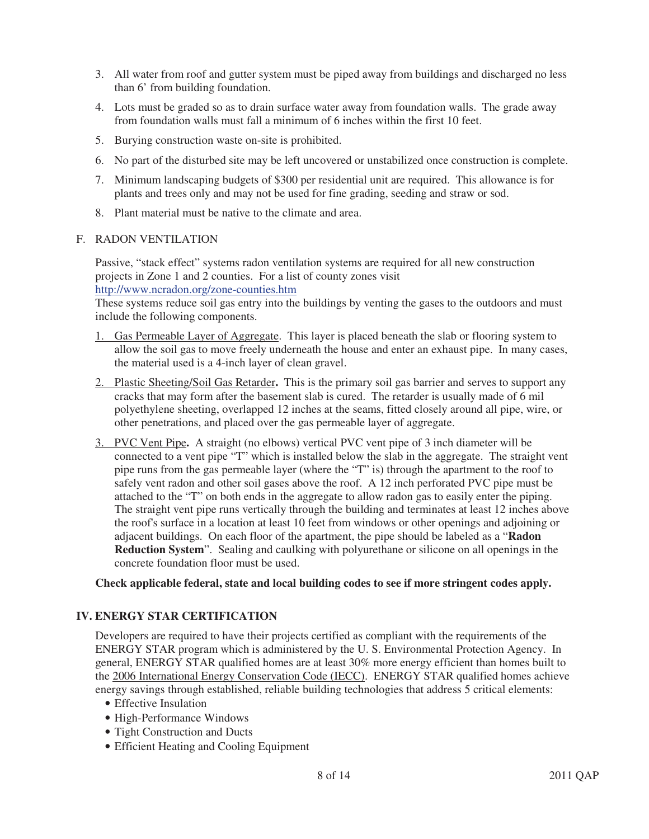- 3. All water from roof and gutter system must be piped away from buildings and discharged no less than 6' from building foundation.
- 4. Lots must be graded so as to drain surface water away from foundation walls. The grade away from foundation walls must fall a minimum of 6 inches within the first 10 feet.
- 5. Burying construction waste on-site is prohibited.
- 6. No part of the disturbed site may be left uncovered or unstabilized once construction is complete.
- 7. Minimum landscaping budgets of \$300 per residential unit are required. This allowance is for plants and trees only and may not be used for fine grading, seeding and straw or sod.
- 8. Plant material must be native to the climate and area.

### F. RADON VENTILATION

Passive, "stack effect" systems radon ventilation systems are required for all new construction projects in Zone 1 and 2 counties. For a list of county zones visit http://www.ncradon.org/zone-counties.htm

These systems reduce soil gas entry into the buildings by venting the gases to the outdoors and must include the following components.

- 1. Gas Permeable Layer of Aggregate. This layer is placed beneath the slab or flooring system to allow the soil gas to move freely underneath the house and enter an exhaust pipe. In many cases, the material used is a 4-inch layer of clean gravel.
- 2. Plastic Sheeting/Soil Gas Retarder**.** This is the primary soil gas barrier and serves to support any cracks that may form after the basement slab is cured. The retarder is usually made of 6 mil polyethylene sheeting, overlapped 12 inches at the seams, fitted closely around all pipe, wire, or other penetrations, and placed over the gas permeable layer of aggregate.
- 3. PVC Vent Pipe**.** A straight (no elbows) vertical PVC vent pipe of 3 inch diameter will be connected to a vent pipe "T" which is installed below the slab in the aggregate. The straight vent pipe runs from the gas permeable layer (where the "T" is) through the apartment to the roof to safely vent radon and other soil gases above the roof. A 12 inch perforated PVC pipe must be attached to the "T" on both ends in the aggregate to allow radon gas to easily enter the piping. The straight vent pipe runs vertically through the building and terminates at least 12 inches above the roof's surface in a location at least 10 feet from windows or other openings and adjoining or adjacent buildings. On each floor of the apartment, the pipe should be labeled as a "**Radon Reduction System**". Sealing and caulking with polyurethane or silicone on all openings in the concrete foundation floor must be used.

**Check applicable federal, state and local building codes to see if more stringent codes apply.** 

# **IV. ENERGY STAR CERTIFICATION**

Developers are required to have their projects certified as compliant with the requirements of the ENERGY STAR program which is administered by the U. S. Environmental Protection Agency. In general, ENERGY STAR qualified homes are at least 30% more energy efficient than homes built to the 2006 International Energy Conservation Code (IECC). ENERGY STAR qualified homes achieve energy savings through established, reliable building technologies that address 5 critical elements:

- Effective Insulation
- High-Performance Windows
- Tight Construction and Ducts
- Efficient Heating and Cooling Equipment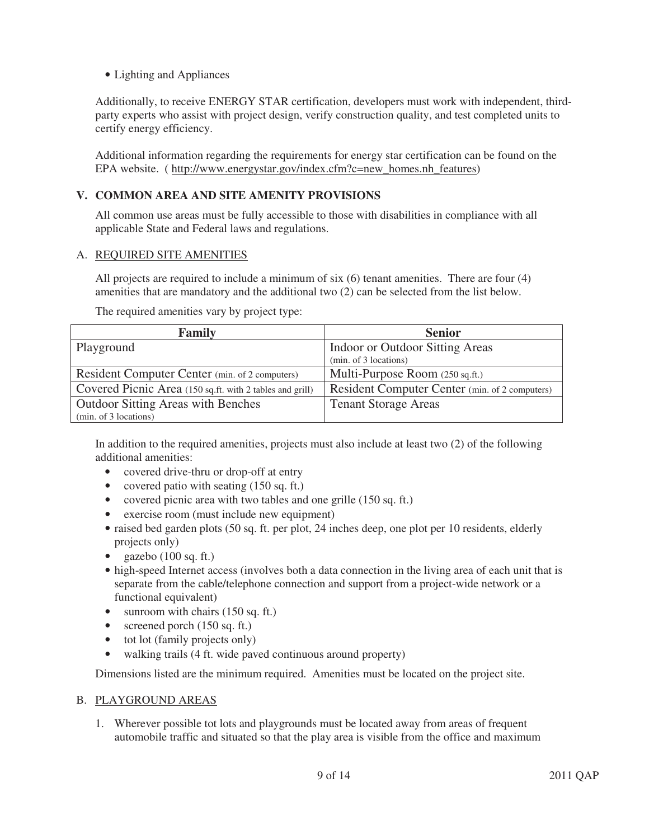• Lighting and Appliances

Additionally, to receive ENERGY STAR certification, developers must work with independent, thirdparty experts who assist with project design, verify construction quality, and test completed units to certify energy efficiency.

Additional information regarding the requirements for energy star certification can be found on the EPA website. ( http://www.energystar.gov/index.cfm?c=new\_homes.nh\_features)

# **V. COMMON AREA AND SITE AMENITY PROVISIONS**

All common use areas must be fully accessible to those with disabilities in compliance with all applicable State and Federal laws and regulations.

### A. REQUIRED SITE AMENITIES

All projects are required to include a minimum of six (6) tenant amenities. There are four (4) amenities that are mandatory and the additional two (2) can be selected from the list below.

The required amenities vary by project type:

| <b>Family</b>                                            | <b>Senior</b>                                  |
|----------------------------------------------------------|------------------------------------------------|
| Playground                                               | Indoor or Outdoor Sitting Areas                |
|                                                          | (min. of 3 locations)                          |
| Resident Computer Center (min. of 2 computers)           | Multi-Purpose Room (250 sq.ft.)                |
| Covered Picnic Area (150 sq.ft. with 2 tables and grill) | Resident Computer Center (min. of 2 computers) |
| <b>Outdoor Sitting Areas with Benches</b>                | <b>Tenant Storage Areas</b>                    |
| (min. of 3 locations)                                    |                                                |

In addition to the required amenities, projects must also include at least two (2) of the following additional amenities:

- covered drive-thru or drop-off at entry
- covered patio with seating (150 sq. ft.)
- covered picnic area with two tables and one grille (150 sq. ft.)
- exercise room (must include new equipment)
- raised bed garden plots (50 sq. ft. per plot, 24 inches deep, one plot per 10 residents, elderly projects only)
- gazebo  $(100 \text{ sq. ft.})$
- high-speed Internet access (involves both a data connection in the living area of each unit that is separate from the cable/telephone connection and support from a project-wide network or a functional equivalent)
- sunroom with chairs (150 sq. ft.)
- screened porch  $(150 \text{ sq. ft.})$
- tot lot (family projects only)
- walking trails (4 ft. wide paved continuous around property)

Dimensions listed are the minimum required. Amenities must be located on the project site.

### B. PLAYGROUND AREAS

1. Wherever possible tot lots and playgrounds must be located away from areas of frequent automobile traffic and situated so that the play area is visible from the office and maximum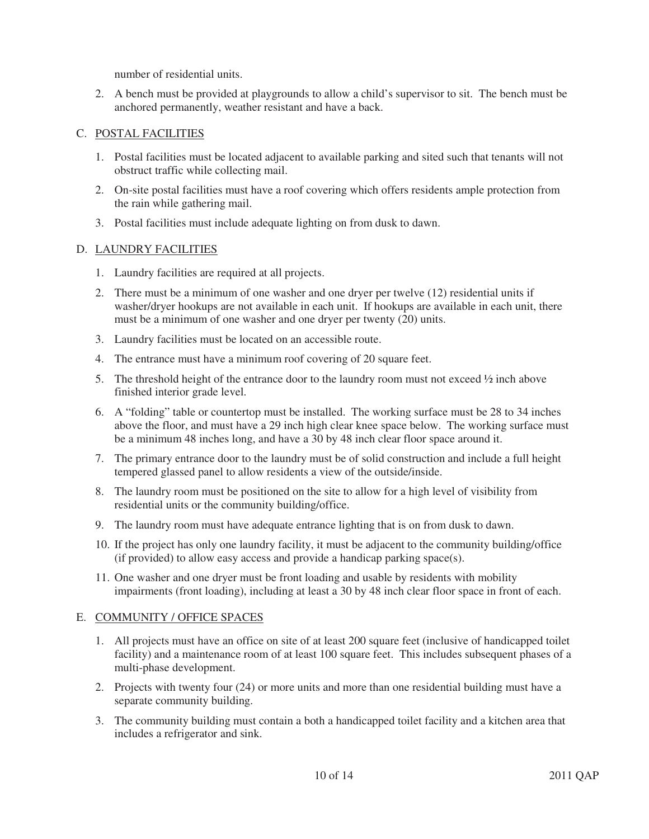number of residential units.

2. A bench must be provided at playgrounds to allow a child's supervisor to sit. The bench must be anchored permanently, weather resistant and have a back.

### C. POSTAL FACILITIES

- 1. Postal facilities must be located adjacent to available parking and sited such that tenants will not obstruct traffic while collecting mail.
- 2. On-site postal facilities must have a roof covering which offers residents ample protection from the rain while gathering mail.
- 3. Postal facilities must include adequate lighting on from dusk to dawn.

#### D. LAUNDRY FACILITIES

- 1. Laundry facilities are required at all projects.
- 2. There must be a minimum of one washer and one dryer per twelve (12) residential units if washer/dryer hookups are not available in each unit. If hookups are available in each unit, there must be a minimum of one washer and one dryer per twenty (20) units.
- 3. Laundry facilities must be located on an accessible route.
- 4. The entrance must have a minimum roof covering of 20 square feet.
- 5. The threshold height of the entrance door to the laundry room must not exceed  $\frac{1}{2}$  inch above finished interior grade level.
- 6. A "folding" table or countertop must be installed. The working surface must be 28 to 34 inches above the floor, and must have a 29 inch high clear knee space below. The working surface must be a minimum 48 inches long, and have a 30 by 48 inch clear floor space around it.
- 7. The primary entrance door to the laundry must be of solid construction and include a full height tempered glassed panel to allow residents a view of the outside/inside.
- 8. The laundry room must be positioned on the site to allow for a high level of visibility from residential units or the community building/office.
- 9. The laundry room must have adequate entrance lighting that is on from dusk to dawn.
- 10. If the project has only one laundry facility, it must be adjacent to the community building/office (if provided) to allow easy access and provide a handicap parking space(s).
- 11. One washer and one dryer must be front loading and usable by residents with mobility impairments (front loading), including at least a 30 by 48 inch clear floor space in front of each.

### E. COMMUNITY / OFFICE SPACES

- 1. All projects must have an office on site of at least 200 square feet (inclusive of handicapped toilet facility) and a maintenance room of at least 100 square feet. This includes subsequent phases of a multi-phase development.
- 2. Projects with twenty four (24) or more units and more than one residential building must have a separate community building.
- 3. The community building must contain a both a handicapped toilet facility and a kitchen area that includes a refrigerator and sink.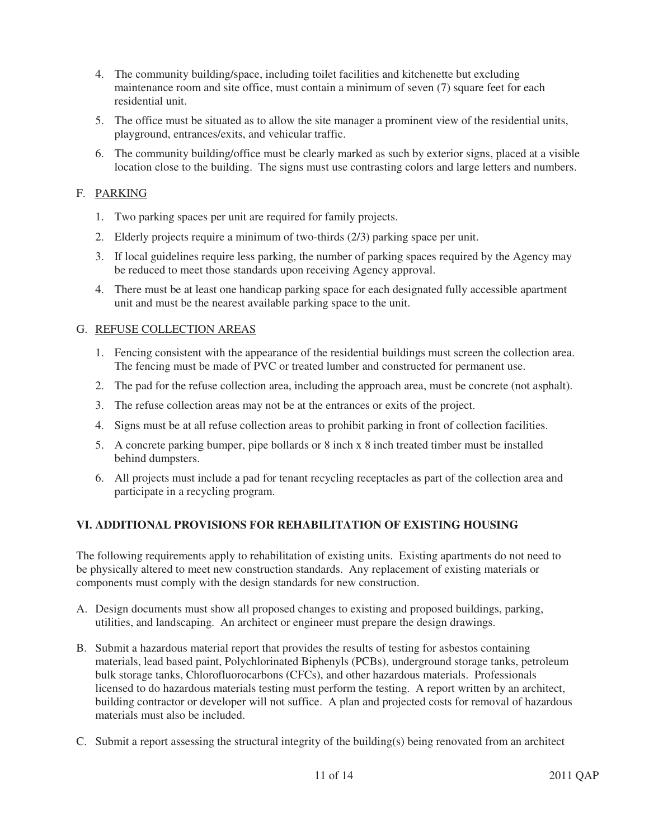- 4. The community building/space, including toilet facilities and kitchenette but excluding maintenance room and site office, must contain a minimum of seven (7) square feet for each residential unit.
- 5. The office must be situated as to allow the site manager a prominent view of the residential units, playground, entrances/exits, and vehicular traffic.
- 6. The community building/office must be clearly marked as such by exterior signs, placed at a visible location close to the building. The signs must use contrasting colors and large letters and numbers.

# F. PARKING

- 1. Two parking spaces per unit are required for family projects.
- 2. Elderly projects require a minimum of two-thirds (2/3) parking space per unit.
- 3. If local guidelines require less parking, the number of parking spaces required by the Agency may be reduced to meet those standards upon receiving Agency approval.
- 4. There must be at least one handicap parking space for each designated fully accessible apartment unit and must be the nearest available parking space to the unit.

# G. REFUSE COLLECTION AREAS

- 1. Fencing consistent with the appearance of the residential buildings must screen the collection area. The fencing must be made of PVC or treated lumber and constructed for permanent use.
- 2. The pad for the refuse collection area, including the approach area, must be concrete (not asphalt).
- 3. The refuse collection areas may not be at the entrances or exits of the project.
- 4. Signs must be at all refuse collection areas to prohibit parking in front of collection facilities.
- 5. A concrete parking bumper, pipe bollards or 8 inch x 8 inch treated timber must be installed behind dumpsters.
- 6. All projects must include a pad for tenant recycling receptacles as part of the collection area and participate in a recycling program.

# **VI. ADDITIONAL PROVISIONS FOR REHABILITATION OF EXISTING HOUSING**

The following requirements apply to rehabilitation of existing units. Existing apartments do not need to be physically altered to meet new construction standards. Any replacement of existing materials or components must comply with the design standards for new construction.

- A. Design documents must show all proposed changes to existing and proposed buildings, parking, utilities, and landscaping. An architect or engineer must prepare the design drawings.
- B. Submit a hazardous material report that provides the results of testing for asbestos containing materials, lead based paint, Polychlorinated Biphenyls (PCBs), underground storage tanks, petroleum bulk storage tanks, Chlorofluorocarbons (CFCs), and other hazardous materials. Professionals licensed to do hazardous materials testing must perform the testing. A report written by an architect, building contractor or developer will not suffice. A plan and projected costs for removal of hazardous materials must also be included.
- C. Submit a report assessing the structural integrity of the building(s) being renovated from an architect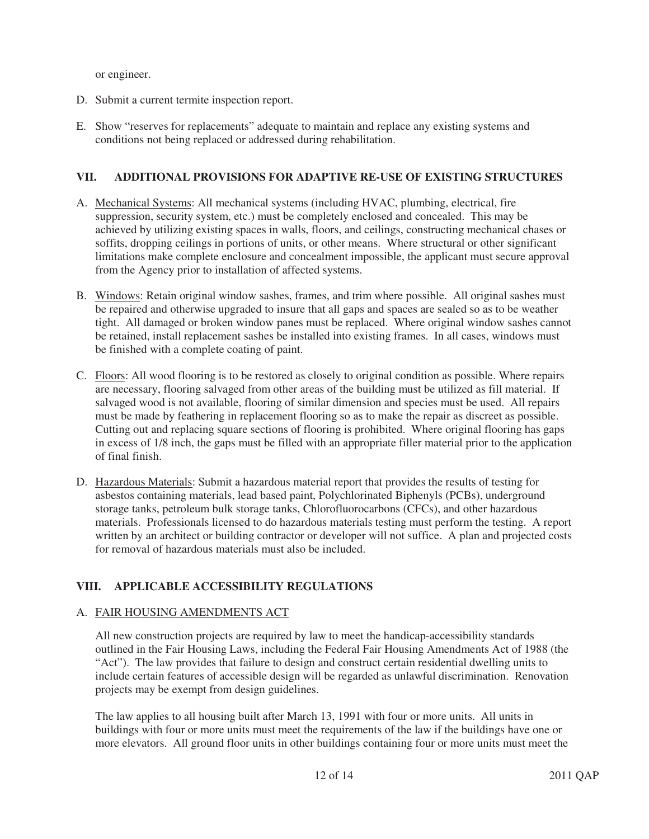or engineer.

- D. Submit a current termite inspection report.
- E. Show "reserves for replacements" adequate to maintain and replace any existing systems and conditions not being replaced or addressed during rehabilitation.

# **VII. ADDITIONAL PROVISIONS FOR ADAPTIVE RE-USE OF EXISTING STRUCTURES**

- A. Mechanical Systems: All mechanical systems (including HVAC, plumbing, electrical, fire suppression, security system, etc.) must be completely enclosed and concealed. This may be achieved by utilizing existing spaces in walls, floors, and ceilings, constructing mechanical chases or soffits, dropping ceilings in portions of units, or other means. Where structural or other significant limitations make complete enclosure and concealment impossible, the applicant must secure approval from the Agency prior to installation of affected systems.
- B. Windows: Retain original window sashes, frames, and trim where possible. All original sashes must be repaired and otherwise upgraded to insure that all gaps and spaces are sealed so as to be weather tight. All damaged or broken window panes must be replaced. Where original window sashes cannot be retained, install replacement sashes be installed into existing frames. In all cases, windows must be finished with a complete coating of paint.
- C. Floors: All wood flooring is to be restored as closely to original condition as possible. Where repairs are necessary, flooring salvaged from other areas of the building must be utilized as fill material. If salvaged wood is not available, flooring of similar dimension and species must be used. All repairs must be made by feathering in replacement flooring so as to make the repair as discreet as possible. Cutting out and replacing square sections of flooring is prohibited. Where original flooring has gaps in excess of 1/8 inch, the gaps must be filled with an appropriate filler material prior to the application of final finish.
- D. Hazardous Materials: Submit a hazardous material report that provides the results of testing for asbestos containing materials, lead based paint, Polychlorinated Biphenyls (PCBs), underground storage tanks, petroleum bulk storage tanks, Chlorofluorocarbons (CFCs), and other hazardous materials. Professionals licensed to do hazardous materials testing must perform the testing. A report written by an architect or building contractor or developer will not suffice. A plan and projected costs for removal of hazardous materials must also be included.

# **VIII. APPLICABLE ACCESSIBILITY REGULATIONS**

# A. FAIR HOUSING AMENDMENTS ACT

All new construction projects are required by law to meet the handicap-accessibility standards outlined in the Fair Housing Laws, including the Federal Fair Housing Amendments Act of 1988 (the "Act"). The law provides that failure to design and construct certain residential dwelling units to include certain features of accessible design will be regarded as unlawful discrimination. Renovation projects may be exempt from design guidelines.

The law applies to all housing built after March 13, 1991 with four or more units. All units in buildings with four or more units must meet the requirements of the law if the buildings have one or more elevators. All ground floor units in other buildings containing four or more units must meet the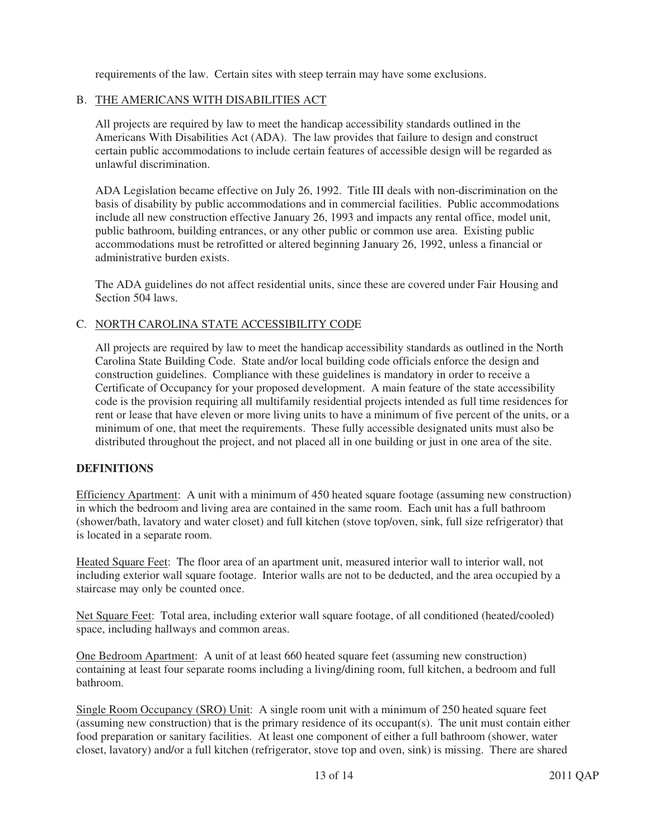requirements of the law. Certain sites with steep terrain may have some exclusions.

### B. THE AMERICANS WITH DISABILITIES ACT

All projects are required by law to meet the handicap accessibility standards outlined in the Americans With Disabilities Act (ADA). The law provides that failure to design and construct certain public accommodations to include certain features of accessible design will be regarded as unlawful discrimination.

ADA Legislation became effective on July 26, 1992. Title III deals with non-discrimination on the basis of disability by public accommodations and in commercial facilities. Public accommodations include all new construction effective January 26, 1993 and impacts any rental office, model unit, public bathroom, building entrances, or any other public or common use area. Existing public accommodations must be retrofitted or altered beginning January 26, 1992, unless a financial or administrative burden exists.

The ADA guidelines do not affect residential units, since these are covered under Fair Housing and Section 504 laws.

### C. NORTH CAROLINA STATE ACCESSIBILITY CODE

All projects are required by law to meet the handicap accessibility standards as outlined in the North Carolina State Building Code. State and/or local building code officials enforce the design and construction guidelines. Compliance with these guidelines is mandatory in order to receive a Certificate of Occupancy for your proposed development. A main feature of the state accessibility code is the provision requiring all multifamily residential projects intended as full time residences for rent or lease that have eleven or more living units to have a minimum of five percent of the units, or a minimum of one, that meet the requirements. These fully accessible designated units must also be distributed throughout the project, and not placed all in one building or just in one area of the site.

### **DEFINITIONS**

Efficiency Apartment: A unit with a minimum of 450 heated square footage (assuming new construction) in which the bedroom and living area are contained in the same room. Each unit has a full bathroom (shower/bath, lavatory and water closet) and full kitchen (stove top/oven, sink, full size refrigerator) that is located in a separate room.

Heated Square Feet: The floor area of an apartment unit, measured interior wall to interior wall, not including exterior wall square footage. Interior walls are not to be deducted, and the area occupied by a staircase may only be counted once.

Net Square Feet: Total area, including exterior wall square footage, of all conditioned (heated/cooled) space, including hallways and common areas.

One Bedroom Apartment: A unit of at least 660 heated square feet (assuming new construction) containing at least four separate rooms including a living/dining room, full kitchen, a bedroom and full bathroom.

Single Room Occupancy (SRO) Unit: A single room unit with a minimum of 250 heated square feet (assuming new construction) that is the primary residence of its occupant(s). The unit must contain either food preparation or sanitary facilities. At least one component of either a full bathroom (shower, water closet, lavatory) and/or a full kitchen (refrigerator, stove top and oven, sink) is missing. There are shared